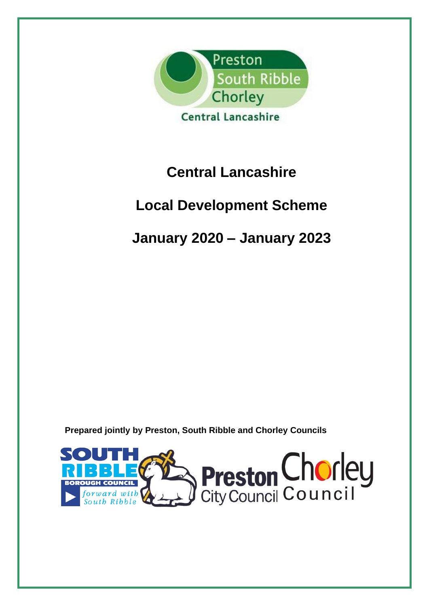

# **Central Lancashire**

# **Local Development Scheme**

# **January 2020 – January 2023**

**Prepared jointly by Preston, South Ribble and Chorley Councils**

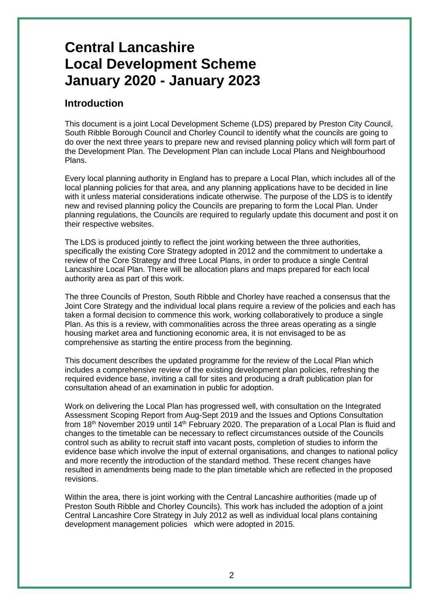# **Central Lancashire Local Development Scheme January 2020 - January 2023**

### **Introduction**

This document is a joint Local Development Scheme (LDS) prepared by Preston City Council, South Ribble Borough Council and Chorley Council to identify what the councils are going to do over the next three years to prepare new and revised planning policy which will form part of the Development Plan. The Development Plan can include Local Plans and Neighbourhood Plans.

Every local planning authority in England has to prepare a Local Plan, which includes all of the local planning policies for that area, and any planning applications have to be decided in line with it unless material considerations indicate otherwise. The purpose of the LDS is to identify new and revised planning policy the Councils are preparing to form the Local Plan. Under planning regulations, the Councils are required to regularly update this document and post it on their respective websites.

The LDS is produced jointly to reflect the joint working between the three authorities, specifically the existing Core Strategy adopted in 2012 and the commitment to undertake a review of the Core Strategy and three Local Plans, in order to produce a single Central Lancashire Local Plan. There will be allocation plans and maps prepared for each local authority area as part of this work.

The three Councils of Preston, South Ribble and Chorley have reached a consensus that the Joint Core Strategy and the individual local plans require a review of the policies and each has taken a formal decision to commence this work, working collaboratively to produce a single Plan. As this is a review, with commonalities across the three areas operating as a single housing market area and functioning economic area, it is not envisaged to be as comprehensive as starting the entire process from the beginning.

This document describes the updated programme for the review of the Local Plan which includes a comprehensive review of the existing development plan policies, refreshing the required evidence base, inviting a call for sites and producing a draft publication plan for consultation ahead of an examination in public for adoption.

Work on delivering the Local Plan has progressed well, with consultation on the Integrated Assessment Scoping Report from Aug-Sept 2019 and the Issues and Options Consultation from 18<sup>th</sup> November 2019 until 14<sup>th</sup> February 2020. The preparation of a Local Plan is fluid and changes to the timetable can be necessary to reflect circumstances outside of the Councils control such as ability to recruit staff into vacant posts, completion of studies to inform the evidence base which involve the input of external organisations, and changes to national policy and more recently the introduction of the standard method. These recent changes have resulted in amendments being made to the plan timetable which are reflected in the proposed revisions.

Within the area, there is joint working with the Central Lancashire authorities (made up of Preston South Ribble and Chorley Councils). This work has included the adoption of a joint Central Lancashire Core Strategy in July 2012 as well as individual local plans containing development management policies which were adopted in 2015.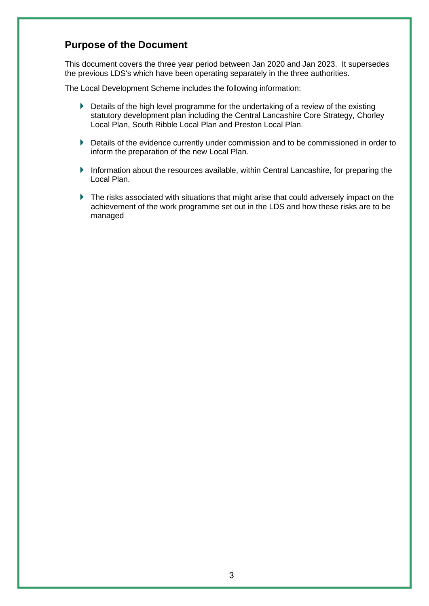### **Purpose of the Document**

This document covers the three year period between Jan 2020 and Jan 2023. It supersedes the previous LDS's which have been operating separately in the three authorities.

The Local Development Scheme includes the following information:

- Details of the high level programme for the undertaking of a review of the existing statutory development plan including the Central Lancashire Core Strategy, Chorley Local Plan, South Ribble Local Plan and Preston Local Plan.
- Details of the evidence currently under commission and to be commissioned in order to inform the preparation of the new Local Plan.
- Information about the resources available, within Central Lancashire, for preparing the Local Plan.
- ▶ The risks associated with situations that might arise that could adversely impact on the achievement of the work programme set out in the LDS and how these risks are to be managed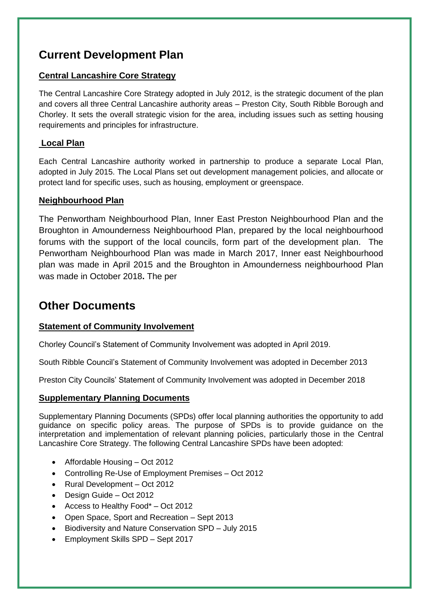## **Current Development Plan**

#### **Central Lancashire Core Strategy**

The Central Lancashire Core Strategy adopted in July 2012, is the strategic document of the plan and covers all three Central Lancashire authority areas – Preston City, South Ribble Borough and Chorley. It sets the overall strategic vision for the area, including issues such as setting housing requirements and principles for infrastructure.

#### **Local Plan**

Each Central Lancashire authority worked in partnership to produce a separate Local Plan, adopted in July 2015. The Local Plans set out development management policies, and allocate or protect land for specific uses, such as housing, employment or greenspace.

#### **Neighbourhood Plan**

The Penwortham Neighbourhood Plan, Inner East Preston Neighbourhood Plan and the Broughton in Amounderness Neighbourhood Plan, prepared by the local neighbourhood forums with the support of the local councils, form part of the development plan. The Penwortham Neighbourhood Plan was made in March 2017, Inner east Neighbourhood plan was made in April 2015 and the Broughton in Amounderness neighbourhood Plan was made in October 2018**.** The per

## **Other Documents**

#### **Statement of Community Involvement**

Chorley Council's Statement of Community Involvement was adopted in April 2019.

South Ribble Council's Statement of Community Involvement was adopted in December 2013

Preston City Councils' Statement of Community Involvement was adopted in December 2018

#### **Supplementary Planning Documents**

Supplementary Planning Documents (SPDs) offer local planning authorities the opportunity to add guidance on specific policy areas. The purpose of SPDs is to provide guidance on the interpretation and implementation of relevant planning policies, particularly those in the Central Lancashire Core Strategy. The following Central Lancashire SPDs have been adopted:

- Affordable Housing Oct 2012
- Controlling Re-Use of Employment Premises Oct 2012
- Rural Development Oct 2012
- Design Guide Oct 2012
- Access to Healthy Food\* Oct 2012
- Open Space, Sport and Recreation Sept 2013
- Biodiversity and Nature Conservation SPD July 2015
- Employment Skills SPD Sept 2017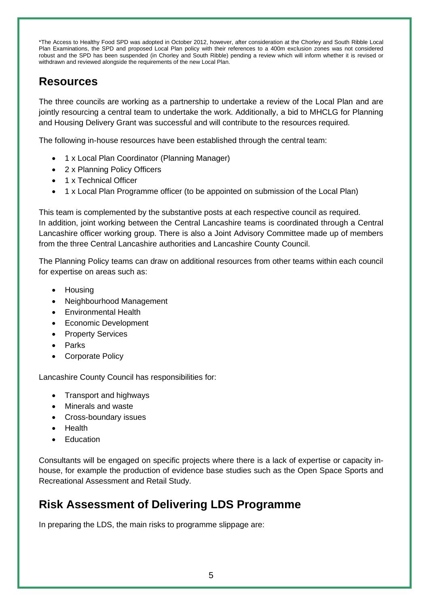\*The Access to Healthy Food SPD was adopted in October 2012, however, after consideration at the Chorley and South Ribble Local Plan Examinations, the SPD and proposed Local Plan policy with their references to a 400m exclusion zones was not considered robust and the SPD has been suspended (in Chorley and South Ribble) pending a review which will inform whether it is revised or withdrawn and reviewed alongside the requirements of the new Local Plan.

## **Resources**

The three councils are working as a partnership to undertake a review of the Local Plan and are jointly resourcing a central team to undertake the work. Additionally, a bid to MHCLG for Planning and Housing Delivery Grant was successful and will contribute to the resources required.

The following in-house resources have been established through the central team:

- 1 x Local Plan Coordinator (Planning Manager)
- 2 x Planning Policy Officers
- 1 x Technical Officer
- 1 x Local Plan Programme officer (to be appointed on submission of the Local Plan)

This team is complemented by the substantive posts at each respective council as required. In addition, joint working between the Central Lancashire teams is coordinated through a Central Lancashire officer working group. There is also a Joint Advisory Committee made up of members from the three Central Lancashire authorities and Lancashire County Council.

The Planning Policy teams can draw on additional resources from other teams within each council for expertise on areas such as:

- Housing
- Neighbourhood Management
- Environmental Health
- Economic Development
- Property Services
- Parks
- Corporate Policy

Lancashire County Council has responsibilities for:

- Transport and highways
- Minerals and waste
- Cross-boundary issues
- Health
- **Fducation**

Consultants will be engaged on specific projects where there is a lack of expertise or capacity inhouse, for example the production of evidence base studies such as the Open Space Sports and Recreational Assessment and Retail Study.

## **Risk Assessment of Delivering LDS Programme**

In preparing the LDS, the main risks to programme slippage are: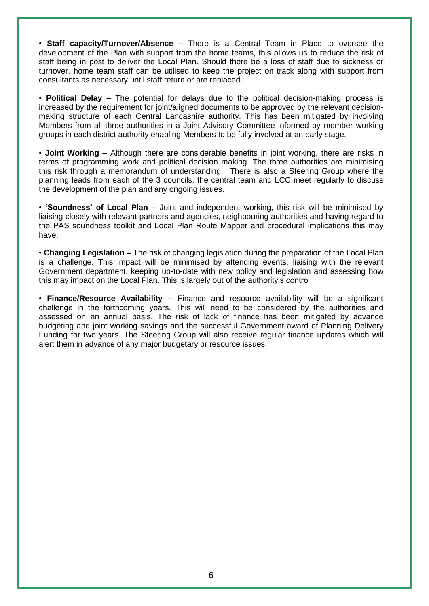• **Staff capacity/Turnover/Absence –** There is a Central Team in Place to oversee the development of the Plan with support from the home teams, this allows us to reduce the risk of staff being in post to deliver the Local Plan. Should there be a loss of staff due to sickness or turnover, home team staff can be utilised to keep the project on track along with support from consultants as necessary until staff return or are replaced.

• **Political Delay –** The potential for delays due to the political decision-making process is increased by the requirement for joint/aligned documents to be approved by the relevant decisionmaking structure of each Central Lancashire authority. This has been mitigated by involving Members from all three authorities in a Joint Advisory Committee informed by member working groups in each district authority enabling Members to be fully involved at an early stage.

• **Joint Working –** Although there are considerable benefits in joint working, there are risks in terms of programming work and political decision making. The three authorities are minimising this risk through a memorandum of understanding. There is also a Steering Group where the planning leads from each of the 3 councils, the central team and LCC meet regularly to discuss the development of the plan and any ongoing issues.

• **'Soundness' of Local Plan –** Joint and independent working, this risk will be minimised by liaising closely with relevant partners and agencies, neighbouring authorities and having regard to the PAS soundness toolkit and Local Plan Route Mapper and procedural implications this may have.

• **Changing Legislation –** The risk of changing legislation during the preparation of the Local Plan is a challenge. This impact will be minimised by attending events, liaising with the relevant Government department, keeping up-to-date with new policy and legislation and assessing how this may impact on the Local Plan. This is largely out of the authority's control.

• **Finance/Resource Availability –** Finance and resource availability will be a significant challenge in the forthcoming years. This will need to be considered by the authorities and assessed on an annual basis. The risk of lack of finance has been mitigated by advance budgeting and joint working savings and the successful Government award of Planning Delivery Funding for two years. The Steering Group will also receive regular finance updates which will alert them in advance of any major budgetary or resource issues.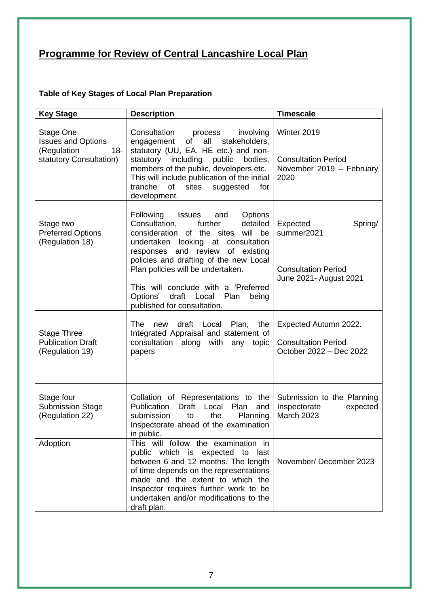# **Programme for Review of Central Lancashire Local Plan**

### **Table of Key Stages of Local Plan Preparation**

| <b>Key Stage</b>                                                                           | <b>Description</b>                                                                                                                                                                                                                                                                                                                                                                                          | <b>Timescale</b>                                                                          |
|--------------------------------------------------------------------------------------------|-------------------------------------------------------------------------------------------------------------------------------------------------------------------------------------------------------------------------------------------------------------------------------------------------------------------------------------------------------------------------------------------------------------|-------------------------------------------------------------------------------------------|
| Stage One<br><b>Issues and Options</b><br>(Regulation<br>$18 -$<br>statutory Consultation) | Consultation<br>process<br>involving<br>of<br>all<br>stakeholders,<br>engagement<br>statutory (UU, EA, HE etc.) and non-<br>statutory including<br>public<br>bodies.<br>members of the public, developers etc.<br>This will include publication of the initial<br>tranche<br>of<br>sites<br>suggested<br>for<br>development.                                                                                | Winter 2019<br><b>Consultation Period</b><br>November 2019 - February<br>2020             |
| Stage two<br><b>Preferred Options</b><br>(Regulation 18)                                   | Following<br>Issues<br>Options<br>and<br>Consultation,<br>further<br>detailed<br>will be<br>of the sites<br>consideration<br>undertaken<br>looking at<br>consultation<br>of existing<br>responses and review<br>policies and drafting of the new Local<br>Plan policies will be undertaken.<br>This will conclude with a 'Preferred<br>Options' draft Local<br>Plan<br>being<br>published for consultation. | Expected<br>Spring/<br>summer2021<br><b>Consultation Period</b><br>June 2021- August 2021 |
| <b>Stage Three</b><br><b>Publication Draft</b><br>(Regulation 19)                          | The<br>draft Local<br>Plan,<br>the<br>new<br>Integrated Appraisal and statement of<br>consultation along with any<br>topic<br>papers                                                                                                                                                                                                                                                                        | Expected Autumn 2022.<br><b>Consultation Period</b><br>October 2022 - Dec 2022            |
| Stage four<br><b>Submission Stage</b><br>(Regulation 22)                                   | Collation of Representations to the<br>Publication<br>Draft<br>Local<br>Plan<br>and<br>the<br>submission<br>to<br>Planning<br>Inspectorate ahead of the examination<br>in public.                                                                                                                                                                                                                           | Submission to the Planning<br>Inspectorate<br>expected<br>March 2023                      |
| Adoption                                                                                   | This will follow the examination in<br>public which is expected to<br>last<br>between 6 and 12 months. The length<br>of time depends on the representations<br>made and the extent to which the<br>Inspector requires further work to be<br>undertaken and/or modifications to the<br>draft plan.                                                                                                           | November/December 2023                                                                    |